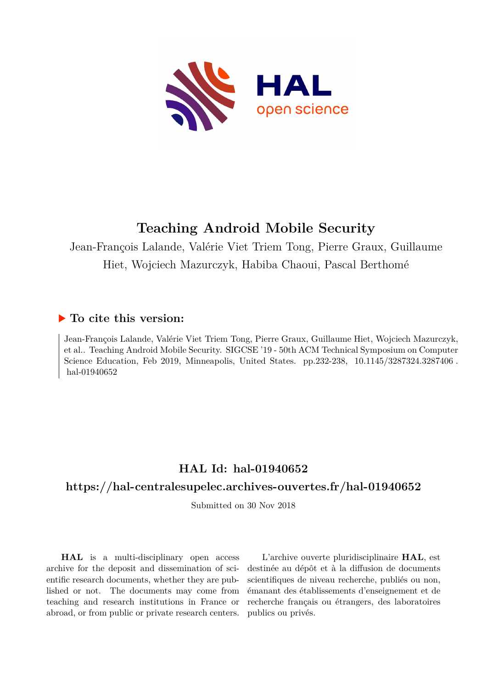

# **Teaching Android Mobile Security**

Jean-François Lalande, Valérie Viet Triem Tong, Pierre Graux, Guillaume Hiet, Wojciech Mazurczyk, Habiba Chaoui, Pascal Berthomé

# **To cite this version:**

Jean-François Lalande, Valérie Viet Triem Tong, Pierre Graux, Guillaume Hiet, Wojciech Mazurczyk, et al.. Teaching Android Mobile Security. SIGCSE '19 - 50th ACM Technical Symposium on Computer Science Education, Feb 2019, Minneapolis, United States. pp.232-238, 10.1145/3287324.3287406. hal-01940652

# **HAL Id: hal-01940652**

## **<https://hal-centralesupelec.archives-ouvertes.fr/hal-01940652>**

Submitted on 30 Nov 2018

**HAL** is a multi-disciplinary open access archive for the deposit and dissemination of scientific research documents, whether they are published or not. The documents may come from teaching and research institutions in France or abroad, or from public or private research centers.

L'archive ouverte pluridisciplinaire **HAL**, est destinée au dépôt et à la diffusion de documents scientifiques de niveau recherche, publiés ou non, émanant des établissements d'enseignement et de recherche français ou étrangers, des laboratoires publics ou privés.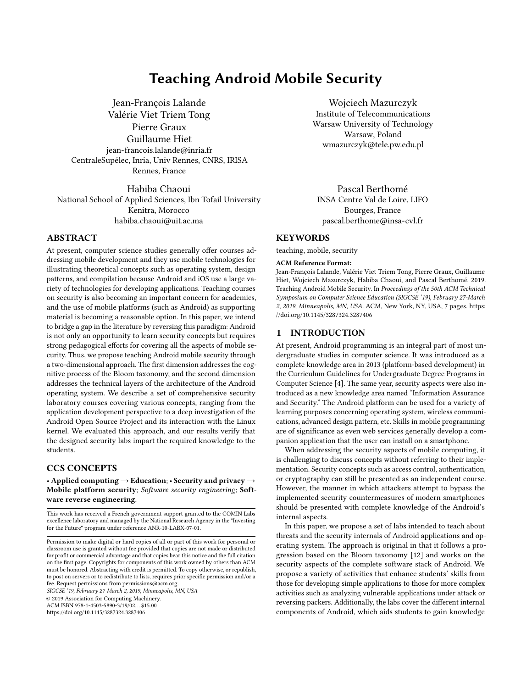## Teaching Android Mobile Security

Jean-François Lalande Valérie Viet Triem Tong Pierre Graux Guillaume Hiet jean-francois.lalande@inria.fr CentraleSupélec, Inria, Univ Rennes, CNRS, IRISA Rennes, France

Habiba Chaoui National School of Applied Sciences, Ibn Tofail University Kenitra, Morocco habiba.chaoui@uit.ac.ma

## ABSTRACT

At present, computer science studies generally offer courses addressing mobile development and they use mobile technologies for illustrating theoretical concepts such as operating system, design patterns, and compilation because Android and iOS use a large variety of technologies for developing applications. Teaching courses on security is also becoming an important concern for academics, and the use of mobile platforms (such as Android) as supporting material is becoming a reasonable option. In this paper, we intend to bridge a gap in the literature by reversing this paradigm: Android is not only an opportunity to learn security concepts but requires strong pedagogical efforts for covering all the aspects of mobile security. Thus, we propose teaching Android mobile security through a two-dimensional approach. The first dimension addresses the cognitive process of the Bloom taxonomy, and the second dimension addresses the technical layers of the architecture of the Android operating system. We describe a set of comprehensive security laboratory courses covering various concepts, ranging from the application development perspective to a deep investigation of the Android Open Source Project and its interaction with the Linux kernel. We evaluated this approach, and our results verify that the designed security labs impart the required knowledge to the students.

## CCS CONCEPTS

• Applied computing  $\rightarrow$  Education; • Security and privacy  $\rightarrow$ Mobile platform security; Software security engineering; Software reverse engineering.

This work has received a French government support granted to the COMIN Labs excellence laboratory and managed by the National Research Agency in the "Investing for the Future" program under reference ANR-10-LABX-07-01.

SIGCSE '19, February 27-March 2, 2019, Minneapolis, MN, USA

© 2019 Association for Computing Machinery.

ACM ISBN 978-1-4503-5890-3/19/02. . . \$15.00

<https://doi.org/10.1145/3287324.3287406>

Wojciech Mazurczyk Institute of Telecommunications Warsaw University of Technology Warsaw, Poland wmazurczyk@tele.pw.edu.pl

Pascal Berthomé INSA Centre Val de Loire, LIFO Bourges, France pascal.berthome@insa-cvl.fr

## **KEYWORDS**

teaching, mobile, security

#### ACM Reference Format:

Jean-François Lalande, Valérie Viet Triem Tong, Pierre Graux, Guillaume Hiet, Wojciech Mazurczyk, Habiba Chaoui, and Pascal Berthomé. 2019. Teaching Android Mobile Security. In Proceedings of the 50th ACM Technical Symposium on Computer Science Education (SIGCSE '19), February 27-March 2, 2019, Minneapolis, MN, USA. ACM, New York, NY, USA, 7 pages. [https:](https://doi.org/10.1145/3287324.3287406) [//doi.org/10.1145/3287324.3287406](https://doi.org/10.1145/3287324.3287406)

### 1 INTRODUCTION

At present, Android programming is an integral part of most undergraduate studies in computer science. It was introduced as a complete knowledge area in 2013 (platform-based development) in the Curriculum Guidelines for Undergraduate Degree Programs in Computer Science [4]. The same year, security aspects were also introduced as a new knowledge area named "Information Assurance and Security." The Android platform can be used for a variety of learning purposes concerning operating system, wireless communications, advanced design pattern, etc. Skills in mobile programming are of significance as even web services generally develop a companion application that the user can install on a smartphone.

When addressing the security aspects of mobile computing, it is challenging to discuss concepts without referring to their implementation. Security concepts such as access control, authentication, or cryptography can still be presented as an independent course. However, the manner in which attackers attempt to bypass the implemented security countermeasures of modern smartphones should be presented with complete knowledge of the Android's internal aspects.

In this paper, we propose a set of labs intended to teach about threats and the security internals of Android applications and operating system. The approach is original in that it follows a progression based on the Bloom taxonomy [12] and works on the security aspects of the complete software stack of Android. We propose a variety of activities that enhance students' skills from those for developing simple applications to those for more complex activities such as analyzing vulnerable applications under attack or reversing packers. Additionally, the labs cover the different internal components of Android, which aids students to gain knowledge

Permission to make digital or hard copies of all or part of this work for personal or classroom use is granted without fee provided that copies are not made or distributed for profit or commercial advantage and that copies bear this notice and the full citation on the first page. Copyrights for components of this work owned by others than ACM must be honored. Abstracting with credit is permitted. To copy otherwise, or republish, to post on servers or to redistribute to lists, requires prior specific permission and/or a fee. Request permissions from permissions@acm.org.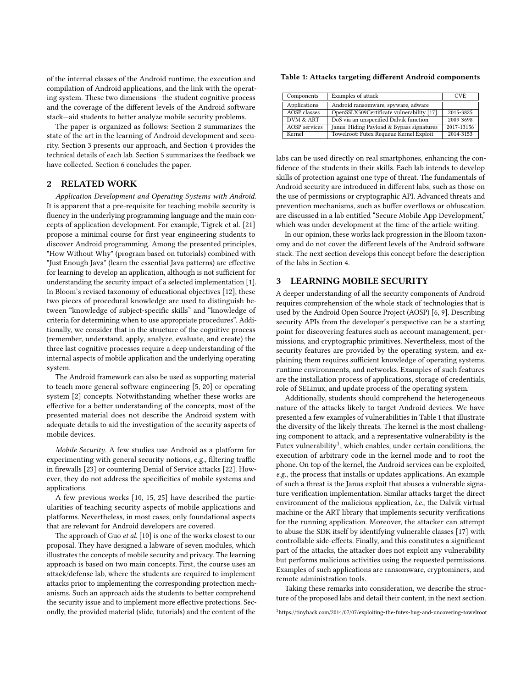of the internal classes of the Android runtime, the execution and compilation of Android applications, and the link with the operating system. These two dimensions—the student cognitive process and the coverage of the different levels of the Android software stack—aid students to better analyze mobile security problems.

The paper is organized as follows: Section 2 summarizes the state of the art in the learning of Android development and security. Section 3 presents our approach, and Section 4 provides the technical details of each lab. Section 5 summarizes the feedback we have collected. Section 6 concludes the paper.

#### 2 RELATED WORK

Application Development and Operating Systems with Android. It is apparent that a pre-requisite for teaching mobile security is fluency in the underlying programming language and the main concepts of application development. For example, Tigrek et al. [21] propose a minimal course for first year engineering students to discover Android programming. Among the presented principles, "How Without Why" (program based on tutorials) combined with "Just Enough Java" (learn the essential Java patterns) are effective for learning to develop an application, although is not sufficient for understanding the security impact of a selected implementation [1]. In Bloom's revised taxonomy of educational objectives [12], these two pieces of procedural knowledge are used to distinguish between "knowledge of subject-specific skills" and "knowledge of criteria for determining when to use appropriate procedures". Additionally, we consider that in the structure of the cognitive process (remember, understand, apply, analyze, evaluate, and create) the three last cognitive processes require a deep understanding of the internal aspects of mobile application and the underlying operating system.

The Android framework can also be used as supporting material to teach more general software engineering [5, 20] or operating system [2] concepts. Notwithstanding whether these works are effective for a better understanding of the concepts, most of the presented material does not describe the Android system with adequate details to aid the investigation of the security aspects of mobile devices.

Mobile Security. A few studies use Android as a platform for experimenting with general security notions, e.g., filtering traffic in firewalls [23] or countering Denial of Service attacks [22]. However, they do not address the specificities of mobile systems and applications.

A few previous works [10, 15, 25] have described the particularities of teaching security aspects of mobile applications and platforms. Nevertheless, in most cases, only foundational aspects that are relevant for Android developers are covered.

The approach of Guo et al. [10] is one of the works closest to our proposal. They have designed a labware of seven modules, which illustrates the concepts of mobile security and privacy. The learning approach is based on two main concepts. First, the course uses an attack/defense lab, where the students are required to implement attacks prior to implementing the corresponding protection mechanisms. Such an approach aids the students to better comprehend the security issue and to implement more effective protections. Secondly, the provided material (slide, tutorials) and the content of the

#### Table 1: Attacks targeting different Android components

| Components           | Examples of attack                        | CVE        |
|----------------------|-------------------------------------------|------------|
| Applications         | Android ransomware, spyware, adware       |            |
| <b>AOSP</b> classes  | OpenSSLX509Certificate vulnerability [17] | 2015-3825  |
| DVM & ART            | DoS via an unspecified Dalvik function    | 2009-3698  |
| <b>AOSP</b> services | Janus: Hiding Payload & Bypass signatures | 2017-13156 |
| Kernel               | Towelroot: Futex Requeue Kernel Exploit   | 2014-3153  |

labs can be used directly on real smartphones, enhancing the confidence of the students in their skills. Each lab intends to develop skills of protection against one type of threat. The fundamentals of Android security are introduced in different labs, such as those on the use of permissions or cryptographic API. Advanced threats and prevention mechanisms, such as buffer overflows or obfuscation, are discussed in a lab entitled "Secure Mobile App Development," which was under development at the time of the article writing.

In our opinion, these works lack progression in the Bloom taxonomy and do not cover the different levels of the Android software stack. The next section develops this concept before the description of the labs in Section 4.

#### 3 LEARNING MOBILE SECURITY

A deeper understanding of all the security components of Android requires comprehension of the whole stack of technologies that is used by the Android Open Source Project (AOSP) [6, 9]. Describing security APIs from the developer's perspective can be a starting point for discovering features such as account management, permissions, and cryptographic primitives. Nevertheless, most of the security features are provided by the operating system, and explaining them requires sufficient knowledge of operating systems, runtime environments, and networks. Examples of such features are the installation process of applications, storage of credentials, role of SELinux, and update process of the operating system.

Additionally, students should comprehend the heterogeneous nature of the attacks likely to target Android devices. We have presented a few examples of vulnerabilities in Table 1 that illustrate the diversity of the likely threats. The kernel is the most challenging component to attack, and a representative vulnerability is the Futex vulnerability<sup>1</sup>, which enables, under certain conditions, the execution of arbitrary code in the kernel mode and to root the phone. On top of the kernel, the Android services can be exploited, e.g., the process that installs or updates applications. An example of such a threat is the Janus exploit that abuses a vulnerable signature verification implementation. Similar attacks target the direct environment of the malicious application, i.e., the Dalvik virtual machine or the ART library that implements security verifications for the running application. Moreover, the attacker can attempt to abuse the SDK itself by identifying vulnerable classes [17] with controllable side-effects. Finally, and this constitutes a significant part of the attacks, the attacker does not exploit any vulnerability but performs malicious activities using the requested permissions. Examples of such applications are ransomware, cryptominers, and remote administration tools.

Taking these remarks into consideration, we describe the structure of the proposed labs and detail their content, in the next section.

<sup>1</sup><https://tinyhack.com/2014/07/07/exploiting-the-futex-bug-and-uncovering-towelroot>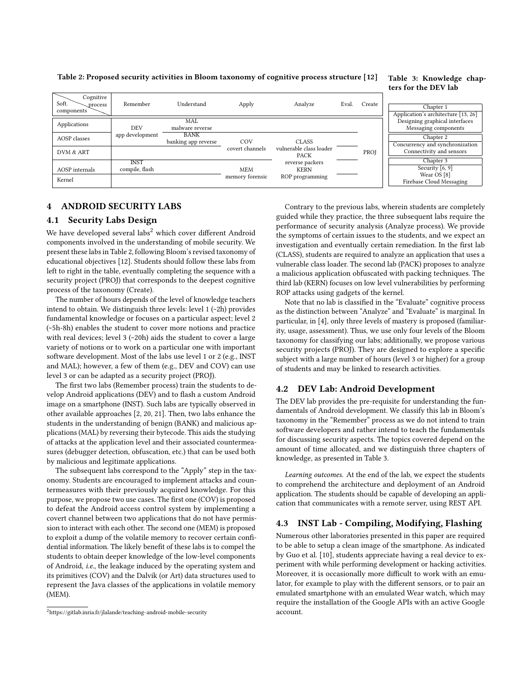Table 2: Proposed security activities in Bloom taxonomy of cognitive process structure [12]

| Cognitive<br>Soft.<br>process<br>components | Remember                      | Understand                         | Apply           | Analyze                                | Eval. | Create |
|---------------------------------------------|-------------------------------|------------------------------------|-----------------|----------------------------------------|-------|--------|
| Applications                                | DEV                           | MAL<br>malware reverse             |                 |                                        |       |        |
| AOSP classes                                | app development               | <b>BANK</b><br>banking app reverse | COV             | <b>CLASS</b>                           |       |        |
| DVM & ART                                   |                               |                                    | covert channels | vulnerable class loader<br><b>PACK</b> |       | PROJ   |
| AOSP internals                              | <b>INST</b><br>compile, flash |                                    | <b>MEM</b>      | reverse packers<br><b>KERN</b>         |       |        |
| Kernel                                      |                               |                                    | memory forensic | ROP programming                        |       |        |

#### Table 3: Knowledge chapters for the DEV lab

| Chapter 1                           |
|-------------------------------------|
| Application's architecture [13, 26] |
| Designing graphical interfaces      |
| Messaging components                |
|                                     |
| Chapter 2                           |
| Concurrency and synchronization     |
| Connectivity and sensors            |
| Chapter 3                           |
|                                     |
| Security $\lceil 6, 9 \rceil$       |
| Wear OS [8]                         |
| Firebase Cloud Messaging            |

## 4 ANDROID SECURITY LABS

#### 4.1 Security Labs Design

We have developed several labs<sup>2</sup> which cover different Android components involved in the understanding of mobile security. We present these labs in Table 2, following Bloom's revised taxonomy of educational objectives [12]. Students should follow these labs from left to right in the table, eventually completing the sequence with a security project (PROJ) that corresponds to the deepest cognitive process of the taxonomy (Create).

The number of hours depends of the level of knowledge teachers intend to obtain. We distinguish three levels: level 1 (~2h) provides fundamental knowledge or focuses on a particular aspect; level 2 (~5h-8h) enables the student to cover more notions and practice with real devices; level 3 (~20h) aids the student to cover a large variety of notions or to work on a particular one with important software development. Most of the labs use level 1 or 2 (e.g., INST and MAL); however, a few of them (e.g., DEV and COV) can use level 3 or can be adapted as a security project (PROJ).

The first two labs (Remember process) train the students to develop Android applications (DEV) and to flash a custom Android image on a smartphone (INST). Such labs are typically observed in other available approaches [2, 20, 21]. Then, two labs enhance the students in the understanding of benign (BANK) and malicious applications (MAL) by reversing their bytecode. This aids the studying of attacks at the application level and their associated countermeasures (debugger detection, obfuscation, etc.) that can be used both by malicious and legitimate applications.

The subsequent labs correspond to the "Apply" step in the taxonomy. Students are encouraged to implement attacks and countermeasures with their previously acquired knowledge. For this purpose, we propose two use cases. The first one (COV) is proposed to defeat the Android access control system by implementing a covert channel between two applications that do not have permission to interact with each other. The second one (MEM) is proposed to exploit a dump of the volatile memory to recover certain confidential information. The likely benefit of these labs is to compel the students to obtain deeper knowledge of the low-level components of Android, i.e., the leakage induced by the operating system and its primitives (COV) and the Dalvik (or Art) data structures used to represent the Java classes of the applications in volatile memory (MEM).

Contrary to the previous labs, wherein students are completely guided while they practice, the three subsequent labs require the performance of security analysis (Analyze process). We provide the symptoms of certain issues to the students, and we expect an investigation and eventually certain remediation. In the first lab (CLASS), students are required to analyze an application that uses a vulnerable class loader. The second lab (PACK) proposes to analyze a malicious application obfuscated with packing techniques. The third lab (KERN) focuses on low level vulnerabilities by performing ROP attacks using gadgets of the kernel.

Note that no lab is classified in the "Evaluate" cognitive process as the distinction between "Analyze" and "Evaluate" is marginal. In particular, in [4], only three levels of mastery is proposed (familiarity, usage, assessment). Thus, we use only four levels of the Bloom taxonomy for classifying our labs; additionally, we propose various security projects (PROJ). They are designed to explore a specific subject with a large number of hours (level 3 or higher) for a group of students and may be linked to research activities.

#### 4.2 DEV Lab: Android Development

The DEV lab provides the pre-requisite for understanding the fundamentals of Android development. We classify this lab in Bloom's taxonomy in the "Remember" process as we do not intend to train software developers and rather intend to teach the fundamentals for discussing security aspects. The topics covered depend on the amount of time allocated, and we distinguish three chapters of knowledge, as presented in Table 3.

Learning outcomes. At the end of the lab, we expect the students to comprehend the architecture and deployment of an Android application. The students should be capable of developing an application that communicates with a remote server, using REST API.

## 4.3 INST Lab - Compiling, Modifying, Flashing

Numerous other laboratories presented in this paper are required to be able to setup a clean image of the smartphone. As indicated by Guo et al. [10], students appreciate having a real device to experiment with while performing development or hacking activities. Moreover, it is occasionally more difficult to work with an emulator, for example to play with the different sensors, or to pair an emulated smartphone with an emulated Wear watch, which may require the installation of the Google APIs with an active Google account.

<sup>2</sup><https://gitlab.inria.fr/jlalande/teaching-android-mobile-security>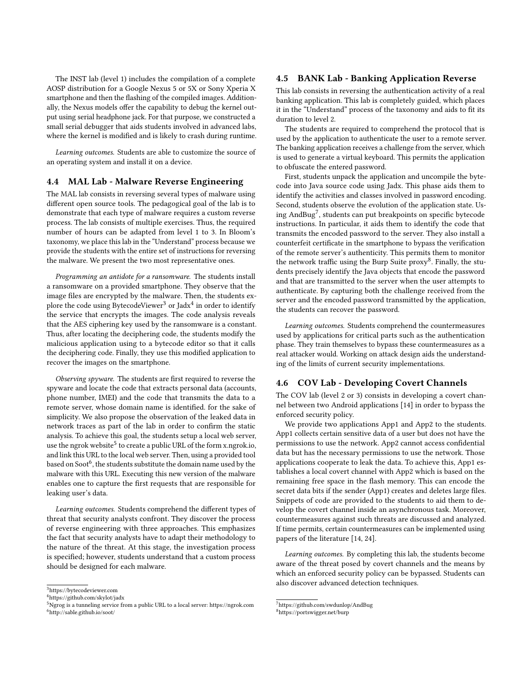The INST lab (level 1) includes the compilation of a complete AOSP distribution for a Google Nexus 5 or 5X or Sony Xperia X smartphone and then the flashing of the compiled images. Additionally, the Nexus models offer the capability to debug the kernel output using serial headphone jack. For that purpose, we constructed a small serial debugger that aids students involved in advanced labs, where the kernel is modified and is likely to crash during runtime.

Learning outcomes. Students are able to customize the source of an operating system and install it on a device.

## 4.4 MAL Lab - Malware Reverse Engineering

The MAL lab consists in reversing several types of malware using different open source tools. The pedagogical goal of the lab is to demonstrate that each type of malware requires a custom reverse process. The lab consists of multiple exercises. Thus, the required number of hours can be adapted from level 1 to 3. In Bloom's taxonomy, we place this lab in the "Understand" process because we provide the students with the entire set of instructions for reversing the malware. We present the two most representative ones.

Programming an antidote for a ransomware. The students install a ransomware on a provided smartphone. They observe that the image files are encrypted by the malware. Then, the students explore the code using BytecodeViewer<sup>3</sup> or Jadx<sup>4</sup> in order to identify the service that encrypts the images. The code analysis reveals that the AES ciphering key used by the ransomware is a constant. Thus, after locating the deciphering code, the students modify the malicious application using to a bytecode editor so that it calls the deciphering code. Finally, they use this modified application to recover the images on the smartphone.

Observing spyware. The students are first required to reverse the spyware and locate the code that extracts personal data (accounts, phone number, IMEI) and the code that transmits the data to a remote server, whose domain name is identified. for the sake of simplicity. We also propose the observation of the leaked data in network traces as part of the lab in order to confirm the static analysis. To achieve this goal, the students setup a local web server, use the ngrok website<sup>5</sup> to create a public URL of the form [x.ngrok.io,](x.ngrok.io) and link this URL to the local web server. Then, using a provided tool based on Soot $^6$ , the students substitute the domain name used by the malware with this URL. Executing this new version of the malware enables one to capture the first requests that are responsible for leaking user's data.

Learning outcomes. Students comprehend the different types of threat that security analysts confront. They discover the process of reverse engineering with three approaches. This emphasizes the fact that security analysts have to adapt their methodology to the nature of the threat. At this stage, the investigation process is specified; however, students understand that a custom process should be designed for each malware.

#### 4.5 BANK Lab - Banking Application Reverse

This lab consists in reversing the authentication activity of a real banking application. This lab is completely guided, which places it in the "Understand" process of the taxonomy and aids to fit its duration to level 2.

The students are required to comprehend the protocol that is used by the application to authenticate the user to a remote server. The banking application receives a challenge from the server, which is used to generate a virtual keyboard. This permits the application to obfuscate the entered password.

First, students unpack the application and uncompile the bytecode into Java source code using Jadx. This phase aids them to identify the activities and classes involved in password encoding. Second, students observe the evolution of the application state. Using AndBug7 , students can put breakpoints on specific bytecode instructions. In particular, it aids them to identify the code that transmits the encoded password to the server. They also install a counterfeit certificate in the smartphone to bypass the verification of the remote server's authenticity. This permits them to monitor the network traffic using the Burp Suite proxy<sup>8</sup>. Finally, the students precisely identify the Java objects that encode the password and that are transmitted to the server when the user attempts to authenticate. By capturing both the challenge received from the server and the encoded password transmitted by the application, the students can recover the password.

Learning outcomes. Students comprehend the countermeasures used by applications for critical parts such as the authentication phase. They train themselves to bypass these countermeasures as a real attacker would. Working on attack design aids the understanding of the limits of current security implementations.

#### 4.6 COV Lab - Developing Covert Channels

The COV lab (level 2 or 3) consists in developing a covert channel between two Android applications [14] in order to bypass the enforced security policy.

We provide two applications App1 and App2 to the students. App1 collects certain sensitive data of a user but does not have the permissions to use the network. App2 cannot access confidential data but has the necessary permissions to use the network. Those applications cooperate to leak the data. To achieve this, App1 establishes a local covert channel with App2 which is based on the remaining free space in the flash memory. This can encode the secret data bits if the sender (App1) creates and deletes large files. Snippets of code are provided to the students to aid them to develop the covert channel inside an asynchronous task. Moreover, countermeasures against such threats are discussed and analyzed. If time permits, certain countermeasures can be implemented using papers of the literature [14, 24].

Learning outcomes. By completing this lab, the students become aware of the threat posed by covert channels and the means by which an enforced security policy can be bypassed. Students can also discover advanced detection techniques.

<sup>3</sup><https://bytecodeviewer.com>

<sup>4</sup><https://github.com/skylot/jadx>

<sup>5</sup>Ngrog is a tunneling service from a public URL to a local server:<https://ngrok.com> <sup>6</sup><http://sable.github.io/soot/>

<sup>7</sup><https://github.com/swdunlop/AndBug>

<sup>8</sup><https://portswigger.net/burp>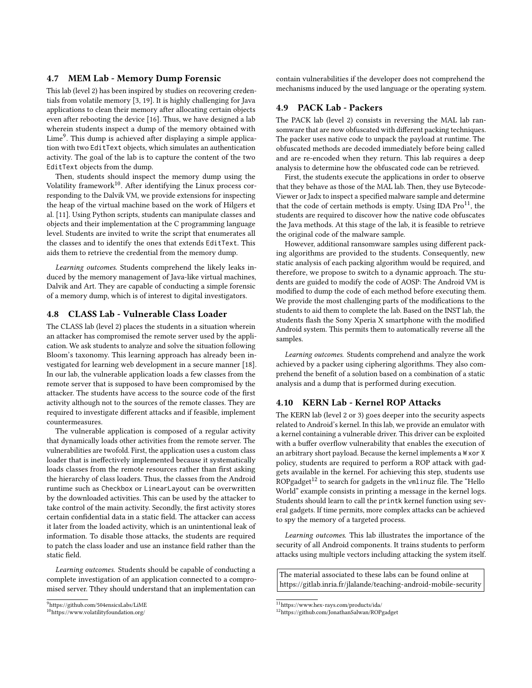#### 4.7 MEM Lab - Memory Dump Forensic

This lab (level 2) has been inspired by studies on recovering credentials from volatile memory [3, 19]. It is highly challenging for Java applications to clean their memory after allocating certain objects even after rebooting the device [16]. Thus, we have designed a lab wherein students inspect a dump of the memory obtained with Lime<sup>9</sup>. This dump is achieved after displaying a simple application with two EditText objects, which simulates an authentication activity. The goal of the lab is to capture the content of the two EditText objects from the dump.

Then, students should inspect the memory dump using the Volatility framework $10$ . After identifying the Linux process corresponding to the Dalvik VM, we provide extensions for inspecting the heap of the virtual machine based on the work of Hilgers et al. [11]. Using Python scripts, students can manipulate classes and objects and their implementation at the C programming language level. Students are invited to write the script that enumerates all the classes and to identify the ones that extends EditText. This aids them to retrieve the credential from the memory dump.

Learning outcomes. Students comprehend the likely leaks induced by the memory management of Java-like virtual machines, Dalvik and Art. They are capable of conducting a simple forensic of a memory dump, which is of interest to digital investigators.

## 4.8 CLASS Lab - Vulnerable Class Loader

The CLASS lab (level 2) places the students in a situation wherein an attacker has compromised the remote server used by the application. We ask students to analyze and solve the situation following Bloom's taxonomy. This learning approach has already been investigated for learning web development in a secure manner [18]. In our lab, the vulnerable application loads a few classes from the remote server that is supposed to have been compromised by the attacker. The students have access to the source code of the first activity although not to the sources of the remote classes. They are required to investigate different attacks and if feasible, implement countermeasures.

The vulnerable application is composed of a regular activity that dynamically loads other activities from the remote server. The vulnerabilities are twofold. First, the application uses a custom class loader that is ineffectively implemented because it systematically loads classes from the remote resources rather than first asking the hierarchy of class loaders. Thus, the classes from the Android runtime such as Checkbox or LinearLayout can be overwritten by the downloaded activities. This can be used by the attacker to take control of the main activity. Secondly, the first activity stores certain confidential data in a static field. The attacker can access it later from the loaded activity, which is an unintentional leak of information. To disable those attacks, the students are required to patch the class loader and use an instance field rather than the static field.

Learning outcomes. Students should be capable of conducting a complete investigation of an application connected to a compromised server. Tthey should understand that an implementation can

contain vulnerabilities if the developer does not comprehend the mechanisms induced by the used language or the operating system.

## 4.9 PACK Lab - Packers

The PACK lab (level 2) consists in reversing the MAL lab ransomware that are now obfuscated with different packing techniques. The packer uses native code to unpack the payload at runtime. The obfuscated methods are decoded immediately before being called and are re-encoded when they return. This lab requires a deep analysis to determine how the obfuscated code can be retrieved.

First, the students execute the applications in order to observe that they behave as those of the MAL lab. Then, they use Bytecode-Viewer or Jadx to inspect a specified malware sample and determine that the code of certain methods is empty. Using IDA  $Pro<sup>11</sup>$ , the students are required to discover how the native code obfuscates the Java methods. At this stage of the lab, it is feasible to retrieve the original code of the malware sample.

However, additional ransomware samples using different packing algorithms are provided to the students. Consequently, new static analysis of each packing algorithm would be required, and therefore, we propose to switch to a dynamic approach. The students are guided to modify the code of AOSP: The Android VM is modified to dump the code of each method before executing them. We provide the most challenging parts of the modifications to the students to aid them to complete the lab. Based on the INST lab, the students flash the Sony Xperia X smartphone with the modified Android system. This permits them to automatically reverse all the samples.

Learning outcomes. Students comprehend and analyze the work achieved by a packer using ciphering algorithms. They also comprehend the benefit of a solution based on a combination of a static analysis and a dump that is performed during execution.

#### 4.10 KERN Lab - Kernel ROP Attacks

The KERN lab (level 2 or 3) goes deeper into the security aspects related to Android's kernel. In this lab, we provide an emulator with a kernel containing a vulnerable driver. This driver can be exploited with a buffer overflow vulnerability that enables the execution of an arbitrary short payload. Because the kernel implements a W xor X policy, students are required to perform a ROP attack with gadgets available in the kernel. For achieving this step, students use ROPgadget<sup>12</sup> to search for gadgets in the vmlinuz file. The "Hello World" example consists in printing a message in the kernel logs. Students should learn to call the printk kernel function using several gadgets. If time permits, more complex attacks can be achieved to spy the memory of a targeted process.

Learning outcomes. This lab illustrates the importance of the security of all Android components. It trains students to perform attacks using multiple vectors including attacking the system itself.

The material associated to these labs can be found online at <https://gitlab.inria.fr/jlalande/teaching-android-mobile-security>

<sup>9</sup><https://github.com/504ensicsLabs/LiME>

<sup>10</sup><https://www.volatilityfoundation.org/>

 $\rm ^{11}$  <https://www.hex-rays.com/products/ida/>

<sup>12</sup><https://github.com/JonathanSalwan/ROPgadget>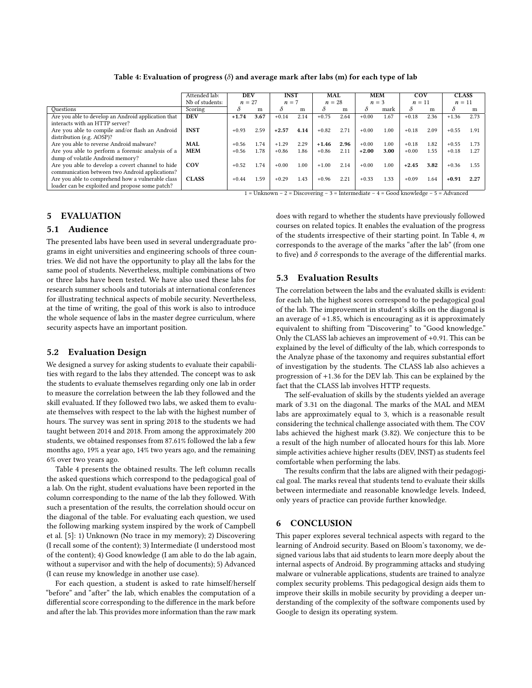|                                                     | Attended lab:   | DEV<br>$n = 27$ |      | <b>INST</b><br>$n = 7$ |      | MAL<br>$n = 28$ |      | <b>MEM</b><br>$n = 3$ |          | COV<br>$n = 11$ |      | <b>CLASS</b><br>$n = 11$ |      |
|-----------------------------------------------------|-----------------|-----------------|------|------------------------|------|-----------------|------|-----------------------|----------|-----------------|------|--------------------------|------|
|                                                     | Nb of students: |                 |      |                        |      |                 |      |                       |          |                 |      |                          |      |
| Ouestions                                           | Scoring         | ∂               | m    |                        | m    |                 | m    | $\delta$              | mark     | δ               | m    | δ                        | m    |
| Are you able to develop an Android application that | <b>DEV</b>      | $+1.74$         | 3.67 | $+0.14$                | 2.14 | $+0.75$         | 2.64 | $+0.00$               | 1.67     | $+0.18$         | 2.36 | $+1.36$                  | 2.73 |
| interacts with an HTTP server?                      |                 |                 |      |                        |      |                 |      |                       |          |                 |      |                          |      |
| Are you able to compile and/or flash an Android     | <b>INST</b>     | $+0.93$         | 2.59 | $+2.57$                | 4.14 | $+0.82$         | 2.71 | $+0.00$               | 1.00     | $+0.18$         | 2.09 | $+0.55$                  | 1.91 |
| distribution (e.g. AOSP)?                           |                 |                 |      |                        |      |                 |      |                       |          |                 |      |                          |      |
| Are you able to reverse Android malware?            | <b>MAL</b>      | $+0.56$         | 1.74 | $+1.29$                | 2.29 | $+1.46$         | 2.96 | $+0.00$               | 1.00     | $+0.18$         | 1.82 | $+0.55$                  | 1.73 |
| Are you able to perform a forensic analysis of a    | <b>MEM</b>      | $+0.56$         | 1.78 | $+0.86$                | 1.86 | $+0.86$         | 2.11 | $+2.00$               | 3.00     | $+0.00$         | 1.55 | $+0.18$                  | 1.27 |
| dump of volatile Android memory?                    |                 |                 |      |                        |      |                 |      |                       |          |                 |      |                          |      |
| Are you able to develop a covert channel to hide    | COV             | $+0.52$         | 1.74 | $+0.00$                | 1.00 | $+1.00$         | 2.14 | $+0.00$               | $1.00\,$ | $+2.45$         | 3.82 | $+0.36$                  | 1.55 |
| communication between two Android applications?     |                 |                 |      |                        |      |                 |      |                       |          |                 |      |                          |      |
| Are you able to comprehend how a vulnerable class   | <b>CLASS</b>    | $+0.44$         | 1.59 | $+0.29$                | 1.43 | $+0.96$         | 2.21 | $+0.33$               | 1.33     | $+0.09$         | 1.64 | $+0.91$                  | 2.27 |
| loader can be exploited and propose some patch?     |                 |                 |      |                        |      |                 |      |                       |          |                 |      |                          |      |

 $1 =$  Unknown – 2 = Discovering – 3 = Intermediate – 4 = Good knowledge – 5 = Advanced

## 5 EVALUATION

## 5.1 Audience

The presented labs have been used in several undergraduate programs in eight universities and engineering schools of three countries. We did not have the opportunity to play all the labs for the same pool of students. Nevertheless, multiple combinations of two or three labs have been tested. We have also used these labs for research summer schools and tutorials at international conferences for illustrating technical aspects of mobile security. Nevertheless, at the time of writing, the goal of this work is also to introduce the whole sequence of labs in the master degree curriculum, where security aspects have an important position.

#### 5.2 Evaluation Design

We designed a survey for asking students to evaluate their capabilities with regard to the labs they attended. The concept was to ask the students to evaluate themselves regarding only one lab in order to measure the correlation between the lab they followed and the skill evaluated. If they followed two labs, we asked them to evaluate themselves with respect to the lab with the highest number of hours. The survey was sent in spring 2018 to the students we had taught between 2014 and 2018. From among the approximately 200 students, we obtained responses from 87.61% followed the lab a few months ago, 19% a year ago, 14% two years ago, and the remaining 6% over two years ago.

Table 4 presents the obtained results. The left column recalls the asked questions which correspond to the pedagogical goal of a lab. On the right, student evaluations have been reported in the column corresponding to the name of the lab they followed. With such a presentation of the results, the correlation should occur on the diagonal of the table. For evaluating each question, we used the following marking system inspired by the work of Campbell et al. [5]: 1) Unknown (No trace in my memory); 2) Discovering (I recall some of the content); 3) Intermediate (I understood most of the content); 4) Good knowledge (I am able to do the lab again, without a supervisor and with the help of documents); 5) Advanced (I can reuse my knowledge in another use case).

For each question, a student is asked to rate himself/herself "before" and "after" the lab, which enables the computation of a differential score corresponding to the difference in the mark before and after the lab. This provides more information than the raw mark does with regard to whether the students have previously followed courses on related topics. It enables the evaluation of the progress of the students irrespective of their starting point. In Table 4, m corresponds to the average of the marks "after the lab" (from one to five) and  $\delta$  corresponds to the average of the differential marks.

## 5.3 Evaluation Results

The correlation between the labs and the evaluated skills is evident: for each lab, the highest scores correspond to the pedagogical goal of the lab. The improvement in student's skills on the diagonal is an average of <sup>+</sup>1.85, which is encouraging as it is approximately equivalent to shifting from "Discovering" to "Good knowledge." Only the CLASS lab achieves an improvement of <sup>+</sup>0.91. This can be explained by the level of difficulty of the lab, which corresponds to the Analyze phase of the taxonomy and requires substantial effort of investigation by the students. The CLASS lab also achieves a progression of <sup>+</sup>1.<sup>36</sup> for the DEV lab. This can be explained by the fact that the CLASS lab involves HTTP requests.

The self-evaluation of skills by the students yielded an average mark of <sup>3</sup>.<sup>31</sup> on the diagonal. The marks of the MAL and MEM labs are approximately equal to 3, which is a reasonable result considering the technical challenge associated with them. The COV labs achieved the highest mark (3.82). We conjecture this to be a result of the high number of allocated hours for this lab. More simple activities achieve higher results (DEV, INST) as students feel comfortable when performing the labs.

The results confirm that the labs are aligned with their pedagogical goal. The marks reveal that students tend to evaluate their skills between intermediate and reasonable knowledge levels. Indeed, only years of practice can provide further knowledge.

## 6 CONCLUSION

This paper explores several technical aspects with regard to the learning of Android security. Based on Bloom's taxonomy, we designed various labs that aid students to learn more deeply about the internal aspects of Android. By programming attacks and studying malware or vulnerable applications, students are trained to analyze complex security problems. This pedagogical design aids them to improve their skills in mobile security by providing a deeper understanding of the complexity of the software components used by Google to design its operating system.